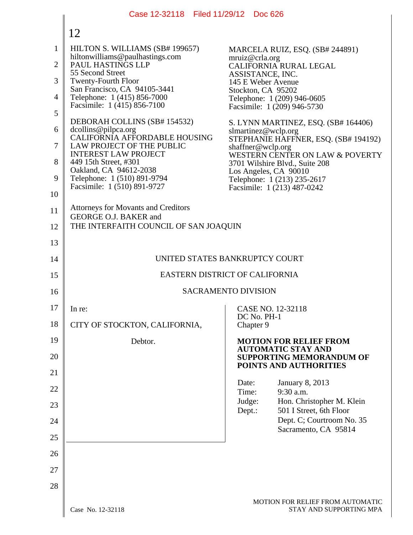|                | Case 12-32118   Filed 11/29/12                                      | <b>Doc 626</b>                                                                                |
|----------------|---------------------------------------------------------------------|-----------------------------------------------------------------------------------------------|
|                | 12                                                                  |                                                                                               |
| $\mathbf{1}$   | HILTON S. WILLIAMS (SB# 199657)<br>hiltonwilliams@paulhastings.com  | MARCELA RUIZ, ESQ. (SB# 244891)                                                               |
| $\overline{2}$ | PAUL HASTINGS LLP<br>55 Second Street                               | mruiz@crla.org<br>CALIFORNIA RURAL LEGAL<br>ASSISTANCE, INC.                                  |
| 3              | <b>Twenty-Fourth Floor</b><br>San Francisco, CA 94105-3441          | 145 E Weber Avenue<br>Stockton, CA 95202                                                      |
| 4<br>5         | Telephone: 1 (415) 856-7000<br>Facsimile: 1 (415) 856-7100          | Telephone: 1 (209) 946-0605<br>Facsimile: 1 (209) 946-5730                                    |
| 6              | DEBORAH COLLINS (SB# 154532)<br>dcollins@pilpca.org                 | S. LYNN MARTINEZ, ESQ. (SB# 164406)                                                           |
| 7              | CALIFORNIA AFFORDABLE HOUSING<br>LAW PROJECT OF THE PUBLIC          | slmartinez@wclp.org<br>STEPHANIE HAFFNER, ESQ. (SB# 194192)                                   |
| 8              | <b>INTEREST LAW PROJECT</b><br>449 15th Street, #301                | shaffner@wclp.org<br>WESTERN CENTER ON LAW & POVERTY<br>3701 Wilshire Blvd., Suite 208        |
| 9              | Oakland, CA 94612-2038<br>Telephone: 1 (510) 891-9794               | Los Angeles, CA 90010<br>Telephone: 1 (213) 235-2617                                          |
| 10             | Facsimile: 1 (510) 891-9727                                         | Facsimile: 1 (213) 487-0242                                                                   |
| 11             | <b>Attorneys for Movants and Creditors</b><br>GEORGE O.J. BAKER and |                                                                                               |
| 12             | THE INTERFAITH COUNCIL OF SAN JOAQUIN                               |                                                                                               |
| 13             |                                                                     |                                                                                               |
| 14             |                                                                     | UNITED STATES BANKRUPTCY COURT                                                                |
| 15             |                                                                     | EASTERN DISTRICT OF CALIFORNIA                                                                |
| 16             |                                                                     | <b>SACRAMENTO DIVISION</b>                                                                    |
| 17             | In re:                                                              | CASE NO. 12-32118<br>DC No. PH-1                                                              |
| 18             | CITY OF STOCKTON, CALIFORNIA,                                       | Chapter 9                                                                                     |
| 19<br>20       | Debtor.                                                             | <b>MOTION FOR RELIEF FROM</b><br><b>AUTOMATIC STAY AND</b><br><b>SUPPORTING MEMORANDUM OF</b> |
| 21             |                                                                     | POINTS AND AUTHORITIES                                                                        |
| 22             |                                                                     | Date:<br><b>January 8, 2013</b><br>9:30 a.m.<br>Time:                                         |
| 23             |                                                                     | Judge:<br>Hon. Christopher M. Klein<br>501 I Street, 6th Floor                                |
| 24             |                                                                     | Dept.:<br>Dept. C; Courtroom No. 35                                                           |
| 25             |                                                                     | Sacramento, CA 95814                                                                          |
| 26             |                                                                     |                                                                                               |
| 27             |                                                                     |                                                                                               |
| 28             |                                                                     |                                                                                               |
|                | Case No. 12-32118                                                   | MOTION FOR RELIEF FROM AUTOMATIC<br>STAY AND SUPPORTING MPA                                   |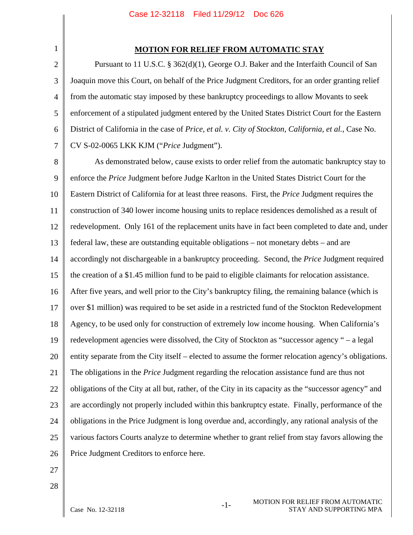# 1 2

## **MOTION FOR RELIEF FROM AUTOMATIC STAY**

3 4 5 6 7 Pursuant to 11 U.S.C. § 362(d)(1), George O.J. Baker and the Interfaith Council of San Joaquin move this Court, on behalf of the Price Judgment Creditors, for an order granting relief from the automatic stay imposed by these bankruptcy proceedings to allow Movants to seek enforcement of a stipulated judgment entered by the United States District Court for the Eastern District of California in the case of *Price, et al. v. City of Stockton, California, et al.*, Case No. CV S-02-0065 LKK KJM ("*Price* Judgment").

8 9 10 11 12 13 14 15 16 17 18 19 20 21 22 23 24 25 26 As demonstrated below, cause exists to order relief from the automatic bankruptcy stay to enforce the *Price* Judgment before Judge Karlton in the United States District Court for the Eastern District of California for at least three reasons. First, the *Price* Judgment requires the construction of 340 lower income housing units to replace residences demolished as a result of redevelopment. Only 161 of the replacement units have in fact been completed to date and, under federal law, these are outstanding equitable obligations – not monetary debts – and are accordingly not dischargeable in a bankruptcy proceeding. Second, the *Price* Judgment required the creation of a \$1.45 million fund to be paid to eligible claimants for relocation assistance. After five years, and well prior to the City's bankruptcy filing, the remaining balance (which is over \$1 million) was required to be set aside in a restricted fund of the Stockton Redevelopment Agency, to be used only for construction of extremely low income housing. When California's redevelopment agencies were dissolved, the City of Stockton as "successor agency " – a legal entity separate from the City itself – elected to assume the former relocation agency's obligations. The obligations in the *Price* Judgment regarding the relocation assistance fund are thus not obligations of the City at all but, rather, of the City in its capacity as the "successor agency" and are accordingly not properly included within this bankruptcy estate. Finally, performance of the obligations in the Price Judgment is long overdue and, accordingly, any rational analysis of the various factors Courts analyze to determine whether to grant relief from stay favors allowing the Price Judgment Creditors to enforce here.

- 27
- 28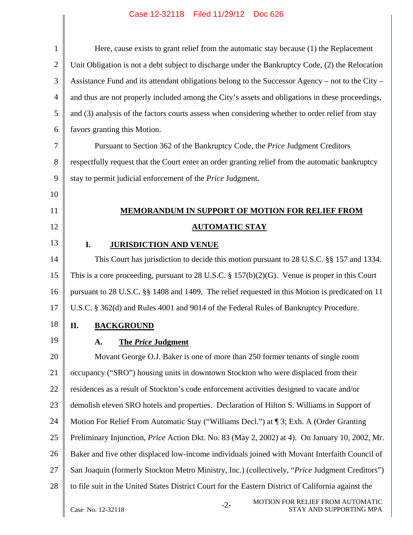| $\mathbf{1}$   | Here, cause exists to grant relief from the automatic stay because (1) the Replacement                |
|----------------|-------------------------------------------------------------------------------------------------------|
| $\overline{2}$ | Unit Obligation is not a debt subject to discharge under the Bankruptcy Code, (2) the Relocation      |
| 3              | Assistance Fund and its attendant obligations belong to the Successor Agency – not to the City –      |
| 4              | and thus are not properly included among the City's assets and obligations in these proceedings,      |
| 5              | and (3) analysis of the factors courts assess when considering whether to order relief from stay      |
| 6              | favors granting this Motion.                                                                          |
| 7              | Pursuant to Section 362 of the Bankruptcy Code, the Price Judgment Creditors                          |
| 8              | respectfully request that the Court enter an order granting relief from the automatic bankruptcy      |
| 9              | stay to permit judicial enforcement of the Price Judgment.                                            |
| 10             |                                                                                                       |
| 11             | <b>MEMORANDUM IN SUPPORT OF MOTION FOR RELIEF FROM</b>                                                |
| 12             | <b>AUTOMATIC STAY</b>                                                                                 |
| 13             | I.<br><b>JURISDICTION AND VENUE</b>                                                                   |
| 14             | This Court has jurisdiction to decide this motion pursuant to 28 U.S.C. §§ 157 and 1334.              |
| 15             | This is a core proceeding, pursuant to 28 U.S.C. $\S 157(b)(2)(G)$ . Venue is proper in this Court    |
| 16             | pursuant to 28 U.S.C. §§ 1408 and 1409. The relief requested in this Motion is predicated on 11       |
| 17             | U.S.C. § 362(d) and Rules 4001 and 9014 of the Federal Rules of Bankruptcy Procedure.                 |
| 18             | П.<br><b>BACKGROUND</b>                                                                               |
| 19             | <b>The Price Judgment</b><br>A.                                                                       |
| 20             | Movant George O.J. Baker is one of more than 250 former tenants of single room                        |
| 21             | occupancy ("SRO") housing units in downtown Stockton who were displaced from their                    |
| 22             | residences as a result of Stockton's code enforcement activities designed to vacate and/or            |
| 23             | demolish eleven SRO hotels and properties. Declaration of Hilton S. Williams in Support of            |
| 24             | Motion For Relief From Automatic Stay ("Williams Decl.") at ¶ 3; Exh. A (Order Granting               |
| 25             | Preliminary Injunction, <i>Price</i> Action Dkt. No. 83 (May 2, 2002) at 4). On January 10, 2002, Mr. |
| 26             | Baker and five other displaced low-income individuals joined with Movant Interfaith Council of        |
| 27             | San Joaquin (formerly Stockton Metro Ministry, Inc.) (collectively, "Price Judgment Creditors")       |
| 28             | to file suit in the United States District Court for the Eastern District of California against the   |
|                | MOTION FOR RELIEF FROM AUTOMATIC<br>$-2-$<br>Case No. 12-32118<br>STAY AND SUPPORTING MPA             |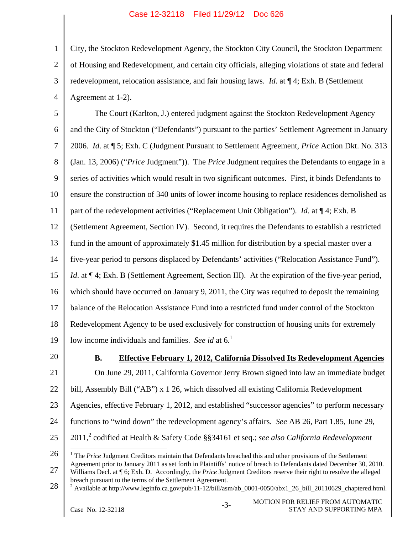1 2 3 4 City, the Stockton Redevelopment Agency, the Stockton City Council, the Stockton Department of Housing and Redevelopment, and certain city officials, alleging violations of state and federal redevelopment, relocation assistance, and fair housing laws. *Id*. at ¶ 4; Exh. B (Settlement Agreement at 1-2).

5 6 7 8 9 10 11 12 13 14 15 16 17 18 19 The Court (Karlton, J.) entered judgment against the Stockton Redevelopment Agency and the City of Stockton ("Defendants") pursuant to the parties' Settlement Agreement in January 2006. *Id*. at ¶ 5; Exh. C (Judgment Pursuant to Settlement Agreement, *Price* Action Dkt. No. 313 (Jan. 13, 2006) ("*Price* Judgment")). The *Price* Judgment requires the Defendants to engage in a series of activities which would result in two significant outcomes. First, it binds Defendants to ensure the construction of 340 units of lower income housing to replace residences demolished as part of the redevelopment activities ("Replacement Unit Obligation"). *Id*. at ¶ 4; Exh. B (Settlement Agreement, Section IV). Second, it requires the Defendants to establish a restricted fund in the amount of approximately \$1.45 million for distribution by a special master over a five-year period to persons displaced by Defendants' activities ("Relocation Assistance Fund"). *Id.* at  $\P$  4; Exh. B (Settlement Agreement, Section III). At the expiration of the five-year period, which should have occurred on January 9, 2011, the City was required to deposit the remaining balance of the Relocation Assistance Fund into a restricted fund under control of the Stockton Redevelopment Agency to be used exclusively for construction of housing units for extremely low income individuals and families. *See id* at 6.<sup>1</sup>

20

## **B. Effective February 1, 2012, California Dissolved Its Redevelopment Agencies**

21 22 23 24 25 On June 29, 2011, California Governor Jerry Brown signed into law an immediate budget bill, Assembly Bill ("AB") x 1 26, which dissolved all existing California Redevelopment Agencies, effective February 1, 2012, and established "successor agencies" to perform necessary functions to "wind down" the redevelopment agency's affairs. *See* AB 26, Part 1.85, June 29, 2011,<sup>2</sup> codified at Health & Safety Code §§34161 et seq.; *see also California Redevelopment* 

<sup>26</sup>  27  $\overline{a}$ <sup>1</sup> The *Price* Judgment Creditors maintain that Defendants breached this and other provisions of the Settlement Agreement prior to January 2011 as set forth in Plaintiffs' notice of breach to Defendants dated December 30, 2010. Williams Decl. at  $\P$  6; Exh. D. Accordingly, the *Price* Judgment Creditors reserve their right to resolve the alleged breach pursuant to the terms of the Settlement Agreement.

<sup>28</sup>  <sup>2</sup> Available at http://www.leginfo.ca.gov/pub/11-12/bill/asm/ab\_0001-0050/abx1\_26\_bill\_20110629\_chaptered.html.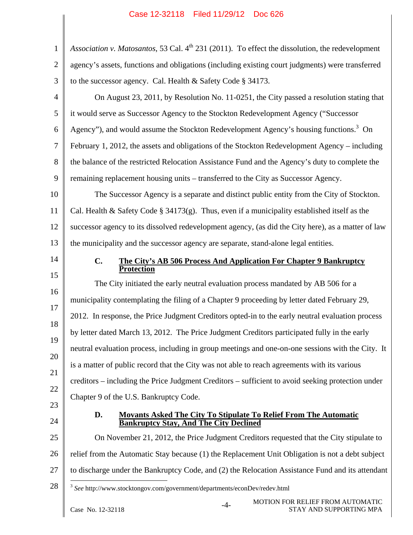| $\mathbf{1}$   | Association v. Matosantos, 53 Cal. 4 <sup>th</sup> 231 (2011). To effect the dissolution, the redevelopment |  |
|----------------|-------------------------------------------------------------------------------------------------------------|--|
| $\overline{2}$ | agency's assets, functions and obligations (including existing court judgments) were transferred            |  |
| 3              | to the successor agency. Cal. Health & Safety Code § 34173.                                                 |  |
| $\overline{4}$ | On August 23, 2011, by Resolution No. 11-0251, the City passed a resolution stating that                    |  |
| 5              | it would serve as Successor Agency to the Stockton Redevelopment Agency ("Successor                         |  |
| 6              | Agency"), and would assume the Stockton Redevelopment Agency's housing functions. <sup>3</sup> On           |  |
| 7              | February 1, 2012, the assets and obligations of the Stockton Redevelopment Agency – including               |  |
| 8              | the balance of the restricted Relocation Assistance Fund and the Agency's duty to complete the              |  |
| 9              | remaining replacement housing units - transferred to the City as Successor Agency.                          |  |
| 10             | The Successor Agency is a separate and distinct public entity from the City of Stockton.                    |  |
| 11             | Cal. Health & Safety Code § 34173(g). Thus, even if a municipality established itself as the                |  |
| 12             | successor agency to its dissolved redevelopment agency, (as did the City here), as a matter of law          |  |
| 13             | the municipality and the successor agency are separate, stand-alone legal entities.                         |  |
| 14             | $C_{\bullet}$<br>The City's AB 506 Process And Application For Chapter 9 Bankruptcy<br><b>Protection</b>    |  |
| 15             | The City initiated the early neutral evaluation process mandated by AB 506 for a                            |  |
| 16             | municipality contemplating the filing of a Chapter 9 proceeding by letter dated February 29,                |  |
| 17             | 2012. In response, the Price Judgment Creditors opted-in to the early neutral evaluation process            |  |
| 18             | by letter dated March 13, 2012. The Price Judgment Creditors participated fully in the early                |  |
| 19             | neutral evaluation process, including in group meetings and one-on-one sessions with the City. It           |  |
| 20             | is a matter of public record that the City was not able to reach agreements with its various                |  |
| 21             | creditors – including the Price Judgment Creditors – sufficient to avoid seeking protection under           |  |
| 22             | Chapter 9 of the U.S. Bankruptcy Code.                                                                      |  |
| 23             | D.<br><b>Movants Asked The City To Stipulate To Relief From The Automatic</b>                               |  |
| 24             | <b>Bankruptcy Stay, And The City Declined</b>                                                               |  |
| 25             | On November 21, 2012, the Price Judgment Creditors requested that the City stipulate to                     |  |
| 26             | relief from the Automatic Stay because (1) the Replacement Unit Obligation is not a debt subject            |  |
| 27             | to discharge under the Bankruptcy Code, and (2) the Relocation Assistance Fund and its attendant            |  |
| 28             | $3$ See http://www.stocktongov.com/government/departments/econDev/redev.html                                |  |
|                | <b>MOTION FOR RELIEF FROM AUTOMATIC</b><br>$-4-$<br>Case No. 12-32118<br>STAY AND SUPPORTING MPA            |  |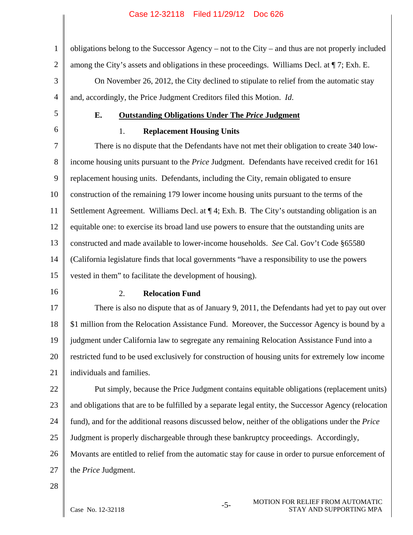1 2 3 4 obligations belong to the Successor Agency – not to the City – and thus are not properly included among the City's assets and obligations in these proceedings. Williams Decl. at ¶ 7; Exh. E. On November 26, 2012, the City declined to stipulate to relief from the automatic stay and, accordingly, the Price Judgment Creditors filed this Motion. *Id*.

5

6

### **E. Outstanding Obligations Under The** *Price* **Judgment**

## 1. **Replacement Housing Units**

7 8 9 10 11 12 13 14 15 There is no dispute that the Defendants have not met their obligation to create 340 lowincome housing units pursuant to the *Price* Judgment. Defendants have received credit for 161 replacement housing units. Defendants, including the City, remain obligated to ensure construction of the remaining 179 lower income housing units pursuant to the terms of the Settlement Agreement. Williams Decl. at  $\P 4$ ; Exh. B. The City's outstanding obligation is an equitable one: to exercise its broad land use powers to ensure that the outstanding units are constructed and made available to lower-income households. *See* Cal. Gov't Code §65580 (California legislature finds that local governments "have a responsibility to use the powers vested in them" to facilitate the development of housing).

16

#### 2. **Relocation Fund**

17 18 19 20 21 There is also no dispute that as of January 9, 2011, the Defendants had yet to pay out over \$1 million from the Relocation Assistance Fund. Moreover, the Successor Agency is bound by a judgment under California law to segregate any remaining Relocation Assistance Fund into a restricted fund to be used exclusively for construction of housing units for extremely low income individuals and families.

22 23 24 25 26 Put simply, because the Price Judgment contains equitable obligations (replacement units) and obligations that are to be fulfilled by a separate legal entity, the Successor Agency (relocation fund), and for the additional reasons discussed below, neither of the obligations under the *Price* Judgment is properly dischargeable through these bankruptcy proceedings. Accordingly, Movants are entitled to relief from the automatic stay for cause in order to pursue enforcement of

27 the *Price* Judgment.

28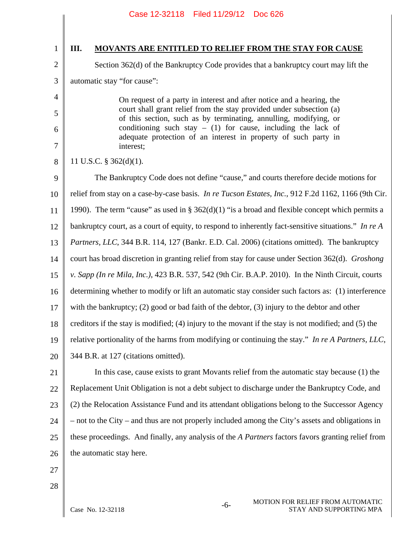1

2

3

4

5

6

7

8

# **III. MOVANTS ARE ENTITLED TO RELIEF FROM THE STAY FOR CAUSE**

Section 362(d) of the Bankruptcy Code provides that a bankruptcy court may lift the automatic stay "for cause":

> On request of a party in interest and after notice and a hearing, the court shall grant relief from the stay provided under subsection (a) of this section, such as by terminating, annulling, modifying, or conditioning such stay  $-$  (1) for cause, including the lack of adequate protection of an interest in property of such party in interest;

11 U.S.C. § 362(d)(1).

9 10 11 12 13 14 15 16 17 18 19 20 The Bankruptcy Code does not define "cause," and courts therefore decide motions for relief from stay on a case-by-case basis. *In re Tucson Estates, Inc.*, 912 F.2d 1162, 1166 (9th Cir. 1990). The term "cause" as used in §  $362(d)(1)$  "is a broad and flexible concept which permits a bankruptcy court, as a court of equity, to respond to inherently fact-sensitive situations." *In re A Partners, LLC*, 344 B.R. 114, 127 (Bankr. E.D. Cal. 2006) (citations omitted). The bankruptcy court has broad discretion in granting relief from stay for cause under Section 362(d). *Groshong v. Sapp (In re Mila, Inc.)*, 423 B.R. 537, 542 (9th Cir. B.A.P. 2010). In the Ninth Circuit, courts determining whether to modify or lift an automatic stay consider such factors as: (1) interference with the bankruptcy; (2) good or bad faith of the debtor, (3) injury to the debtor and other creditors if the stay is modified; (4) injury to the movant if the stay is not modified; and (5) the relative portionality of the harms from modifying or continuing the stay." *In re A Partners, LLC*, 344 B.R. at 127 (citations omitted).

21 22 23 24 25 26 In this case, cause exists to grant Movants relief from the automatic stay because (1) the Replacement Unit Obligation is not a debt subject to discharge under the Bankruptcy Code, and (2) the Relocation Assistance Fund and its attendant obligations belong to the Successor Agency – not to the City – and thus are not properly included among the City's assets and obligations in these proceedings. And finally, any analysis of the *A Partners* factors favors granting relief from the automatic stay here.

- 27
- 28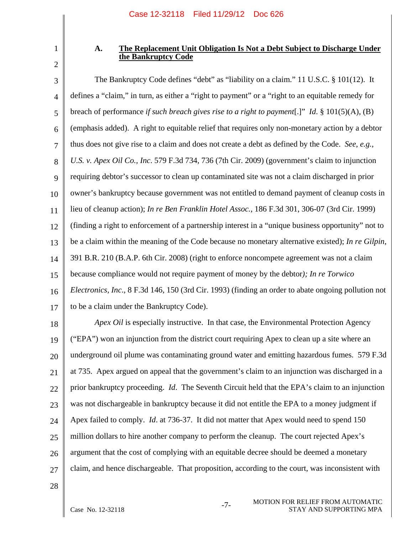1 2

## **A. The Replacement Unit Obligation Is Not a Debt Subject to Discharge Under the Bankruptcy Code**

3 4 5 6 7 8 9 10 11 12 13 14 15 16 17 The Bankruptcy Code defines "debt" as "liability on a claim." 11 U.S.C. § 101(12). It defines a "claim," in turn, as either a "right to payment" or a "right to an equitable remedy for breach of performance *if such breach gives rise to a right to payment*[.]" *Id*. § 101(5)(A), (B) (emphasis added). A right to equitable relief that requires only non-monetary action by a debtor thus does not give rise to a claim and does not create a debt as defined by the Code. *See*, *e.g.*, *U.S. v. Apex Oil Co., Inc*. 579 F.3d 734, 736 (7th Cir. 2009) (government's claim to injunction requiring debtor's successor to clean up contaminated site was not a claim discharged in prior owner's bankruptcy because government was not entitled to demand payment of cleanup costs in lieu of cleanup action); *In re Ben Franklin Hotel Assoc.*, 186 F.3d 301, 306-07 (3rd Cir. 1999) (finding a right to enforcement of a partnership interest in a "unique business opportunity" not to be a claim within the meaning of the Code because no monetary alternative existed); *In re Gilpin*, 391 B.R. 210 (B.A.P. 6th Cir. 2008) (right to enforce noncompete agreement was not a claim because compliance would not require payment of money by the debtor*); In re Torwico Electronics, Inc*., 8 F.3d 146, 150 (3rd Cir. 1993) (finding an order to abate ongoing pollution not to be a claim under the Bankruptcy Code).

18 19 20 21 22 23 24 25 26 27 *Apex Oil* is especially instructive. In that case, the Environmental Protection Agency ("EPA") won an injunction from the district court requiring Apex to clean up a site where an underground oil plume was contaminating ground water and emitting hazardous fumes. 579 F.3d at 735. Apex argued on appeal that the government's claim to an injunction was discharged in a prior bankruptcy proceeding. *Id*. The Seventh Circuit held that the EPA's claim to an injunction was not dischargeable in bankruptcy because it did not entitle the EPA to a money judgment if Apex failed to comply. *Id*. at 736-37. It did not matter that Apex would need to spend 150 million dollars to hire another company to perform the cleanup. The court rejected Apex's argument that the cost of complying with an equitable decree should be deemed a monetary claim, and hence dischargeable. That proposition, according to the court, was inconsistent with

28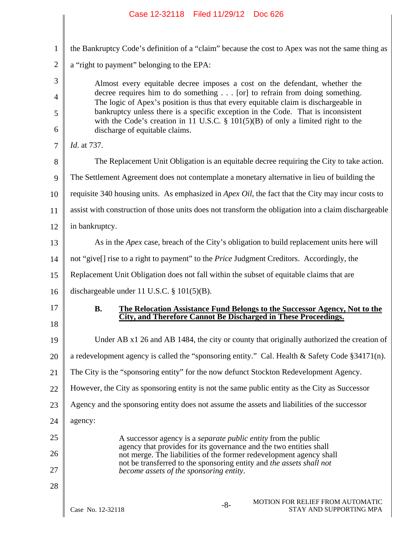|                | Case 12-32118 Filed 11/29/12 Doc 626                                                                                                                             |
|----------------|------------------------------------------------------------------------------------------------------------------------------------------------------------------|
|                |                                                                                                                                                                  |
| $\mathbf{1}$   | the Bankruptcy Code's definition of a "claim" because the cost to Apex was not the same thing as                                                                 |
| $\overline{2}$ | a "right to payment" belonging to the EPA:                                                                                                                       |
| 3              | Almost every equitable decree imposes a cost on the defendant, whether the                                                                                       |
| $\overline{4}$ | decree requires him to do something [or] to refrain from doing something.<br>The logic of Apex's position is thus that every equitable claim is dischargeable in |
| 5              | bankruptcy unless there is a specific exception in the Code. That is inconsistent                                                                                |
| 6              | with the Code's creation in 11 U.S.C. $\S$ 101(5)(B) of only a limited right to the<br>discharge of equitable claims.                                            |
| $\overline{7}$ | <i>Id.</i> at 737.                                                                                                                                               |
| 8              | The Replacement Unit Obligation is an equitable decree requiring the City to take action.                                                                        |
| 9              | The Settlement Agreement does not contemplate a monetary alternative in lieu of building the                                                                     |
| 10             | requisite 340 housing units. As emphasized in Apex Oil, the fact that the City may incur costs to                                                                |
| 11             | assist with construction of those units does not transform the obligation into a claim dischargeable                                                             |
| 12             | in bankruptcy.                                                                                                                                                   |
| 13             | As in the Apex case, breach of the City's obligation to build replacement units here will                                                                        |
| 14             | not "give[] rise to a right to payment" to the Price Judgment Creditors. Accordingly, the                                                                        |
| 15             | Replacement Unit Obligation does not fall within the subset of equitable claims that are                                                                         |
| 16             | dischargeable under 11 U.S.C. $\S$ 101(5)(B).                                                                                                                    |
| 17             | The Relocation Assistance Fund Belongs to the Successor Agency, Not to the<br>В.<br>City, and Therefore Cannot Be Discharged in These Proceedings.               |
| 18             |                                                                                                                                                                  |
| 19             | Under AB x1 26 and AB 1484, the city or county that originally authorized the creation of                                                                        |
| 20             | a redevelopment agency is called the "sponsoring entity." Cal. Health & Safety Code $\S 34171(n)$ .                                                              |
| 21             | The City is the "sponsoring entity" for the now defunct Stockton Redevelopment Agency.                                                                           |
| 22             | However, the City as sponsoring entity is not the same public entity as the City as Successor                                                                    |
| 23             | Agency and the sponsoring entity does not assume the assets and liabilities of the successor                                                                     |
| 24             | agency:                                                                                                                                                          |
| 25             | A successor agency is a <i>separate public entity</i> from the public<br>agency that provides for its governance and the two entities shall                      |
| 26             | not merge. The liabilities of the former redevelopment agency shall<br>not be transferred to the sponsoring entity and the assets shall not                      |
| 27             | become assets of the sponsoring entity.                                                                                                                          |
| 28             |                                                                                                                                                                  |
|                | MOTION FOR RELIEF FROM AUTOMATIC<br>$-8-$<br>STAY AND SUPPORTING MPA<br>Case No. 12-32118                                                                        |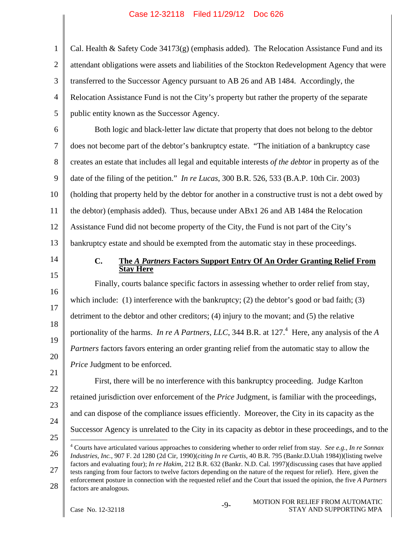| $\mathbf{1}$   | Cal. Health & Safety Code $34173(g)$ (emphasis added). The Relocation Assistance Fund and its                                                                                                                                                   |
|----------------|-------------------------------------------------------------------------------------------------------------------------------------------------------------------------------------------------------------------------------------------------|
| $\mathbf{2}$   | attendant obligations were assets and liabilities of the Stockton Redevelopment Agency that were                                                                                                                                                |
| 3              | transferred to the Successor Agency pursuant to AB 26 and AB 1484. Accordingly, the                                                                                                                                                             |
| $\overline{4}$ | Relocation Assistance Fund is not the City's property but rather the property of the separate                                                                                                                                                   |
| 5              | public entity known as the Successor Agency.                                                                                                                                                                                                    |
| 6              | Both logic and black-letter law dictate that property that does not belong to the debtor                                                                                                                                                        |
| 7              | does not become part of the debtor's bankruptcy estate. "The initiation of a bankruptcy case                                                                                                                                                    |
| $8\,$          | creates an estate that includes all legal and equitable interests of the debtor in property as of the                                                                                                                                           |
| 9              | date of the filing of the petition." In re Lucas, 300 B.R. 526, 533 (B.A.P. 10th Cir. 2003)                                                                                                                                                     |
| 10             | (holding that property held by the debtor for another in a constructive trust is not a debt owed by                                                                                                                                             |
| 11             | the debtor) (emphasis added). Thus, because under ABx1 26 and AB 1484 the Relocation                                                                                                                                                            |
| 12             | Assistance Fund did not become property of the City, the Fund is not part of the City's                                                                                                                                                         |
| 13             | bankruptcy estate and should be exempted from the automatic stay in these proceedings.                                                                                                                                                          |
| 14             | C.<br>The A Partners Factors Support Entry Of An Order Granting Relief From<br><b>Stay Here</b>                                                                                                                                                 |
| 15             |                                                                                                                                                                                                                                                 |
|                |                                                                                                                                                                                                                                                 |
| 16             | Finally, courts balance specific factors in assessing whether to order relief from stay,                                                                                                                                                        |
| 17             | which include: (1) interference with the bankruptcy; (2) the debtor's good or bad faith; (3)                                                                                                                                                    |
| 18             | detriment to the debtor and other creditors; (4) injury to the movant; and (5) the relative                                                                                                                                                     |
| 19             | portionality of the harms. In re A Partners, LLC, 344 B.R. at 127. <sup>4</sup> Here, any analysis of the A                                                                                                                                     |
| 20             | <i>Partners</i> factors favors entering an order granting relief from the automatic stay to allow the                                                                                                                                           |
| 21             | Price Judgment to be enforced.<br>First, there will be no interference with this bankruptcy proceeding. Judge Karlton                                                                                                                           |
| 22             |                                                                                                                                                                                                                                                 |
| 23             | retained jurisdiction over enforcement of the <i>Price</i> Judgment, is familiar with the proceedings,                                                                                                                                          |
| 24             | and can dispose of the compliance issues efficiently. Moreover, the City in its capacity as the<br>Successor Agency is unrelated to the City in its capacity as debtor in these proceedings, and to the                                         |
| 25             |                                                                                                                                                                                                                                                 |
| 26             | $4$ Courts have articulated various approaches to considering whether to order relief from stay. See e.g., In re Sonnax<br>Industries, Inc., 907 F. 2d 1280 (2d Cir, 1990)(citing In re Curtis, 40 B.R. 795 (Bankr.D.Utah 1984))(listing twelve |
| 27             | factors and evaluating four); In re Hakim, 212 B.R. 632 (Bankr. N.D. Cal. 1997)(discussing cases that have applied<br>tests ranging from four factors to twelve factors depending on the nature of the request for relief). Here, given the     |
| 28             | enforcement posture in connection with the requested relief and the Court that issued the opinion, the five A Partners<br>factors are analogous.                                                                                                |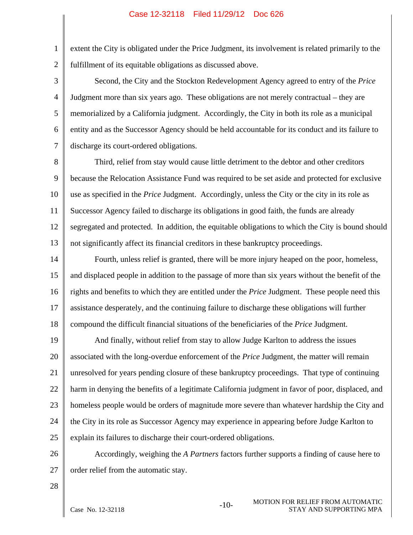1 2 extent the City is obligated under the Price Judgment, its involvement is related primarily to the fulfillment of its equitable obligations as discussed above.

3 4 5 6 7 Second, the City and the Stockton Redevelopment Agency agreed to entry of the *Price* Judgment more than six years ago. These obligations are not merely contractual – they are memorialized by a California judgment. Accordingly, the City in both its role as a municipal entity and as the Successor Agency should be held accountable for its conduct and its failure to discharge its court-ordered obligations.

8 9 10 11 12 13 Third, relief from stay would cause little detriment to the debtor and other creditors because the Relocation Assistance Fund was required to be set aside and protected for exclusive use as specified in the *Price* Judgment. Accordingly, unless the City or the city in its role as Successor Agency failed to discharge its obligations in good faith, the funds are already segregated and protected. In addition, the equitable obligations to which the City is bound should not significantly affect its financial creditors in these bankruptcy proceedings.

14 15 16 17 18 Fourth, unless relief is granted, there will be more injury heaped on the poor, homeless, and displaced people in addition to the passage of more than six years without the benefit of the rights and benefits to which they are entitled under the *Price* Judgment. These people need this assistance desperately, and the continuing failure to discharge these obligations will further compound the difficult financial situations of the beneficiaries of the *Price* Judgment.

19 20 21 22 23 24 25 And finally, without relief from stay to allow Judge Karlton to address the issues associated with the long-overdue enforcement of the *Price* Judgment, the matter will remain unresolved for years pending closure of these bankruptcy proceedings. That type of continuing harm in denying the benefits of a legitimate California judgment in favor of poor, displaced, and homeless people would be orders of magnitude more severe than whatever hardship the City and the City in its role as Successor Agency may experience in appearing before Judge Karlton to explain its failures to discharge their court-ordered obligations.

26 27 Accordingly, weighing the *A Partners* factors further supports a finding of cause here to order relief from the automatic stay.

28